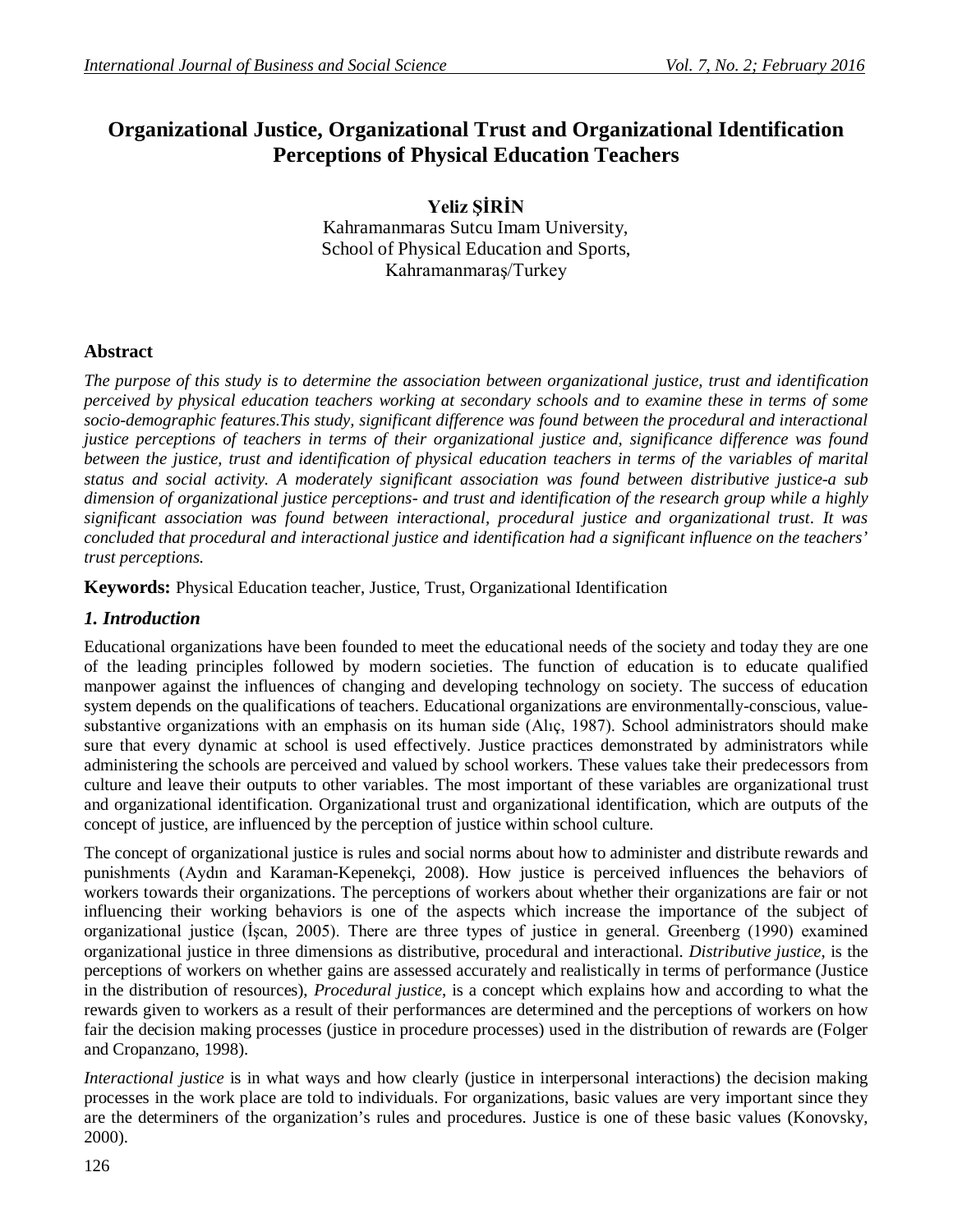# **Organizational Justice, Organizational Trust and Organizational Identification Perceptions of Physical Education Teachers**

**Yeliz ŞİRİN** Kahramanmaras Sutcu Imam University, School of Physical Education and Sports, Kahramanmaraş/Turkey

# **Abstract**

*The purpose of this study is to determine the association between organizational justice, trust and identification perceived by physical education teachers working at secondary schools and to examine these in terms of some*  socio-demographic features.This study, significant difference was found between the procedural and interactional *justice perceptions of teachers in terms of their organizational justice and, significance difference was found between the justice, trust and identification of physical education teachers in terms of the variables of marital status and social activity. A moderately significant association was found between distributive justice-a sub dimension of organizational justice perceptions- and trust and identification of the research group while a highly significant association was found between interactional, procedural justice and organizational trust. It was concluded that procedural and interactional justice and identification had a significant influence on the teachers' trust perceptions.*

**Keywords:** Physical Education teacher, Justice, Trust, Organizational Identification

## *1. Introduction*

Educational organizations have been founded to meet the educational needs of the society and today they are one of the leading principles followed by modern societies. The function of education is to educate qualified manpower against the influences of changing and developing technology on society. The success of education system depends on the qualifications of teachers. Educational organizations are environmentally-conscious, valuesubstantive organizations with an emphasis on its human side (Alıç, 1987). School administrators should make sure that every dynamic at school is used effectively. Justice practices demonstrated by administrators while administering the schools are perceived and valued by school workers. These values take their predecessors from culture and leave their outputs to other variables. The most important of these variables are organizational trust and organizational identification. Organizational trust and organizational identification, which are outputs of the concept of justice, are influenced by the perception of justice within school culture.

The concept of organizational justice is rules and social norms about how to administer and distribute rewards and punishments (Aydın and Karaman-Kepenekçi, 2008). How justice is perceived influences the behaviors of workers towards their organizations. The perceptions of workers about whether their organizations are fair or not influencing their working behaviors is one of the aspects which increase the importance of the subject of organizational justice (İşcan, 2005). There are three types of justice in general. Greenberg (1990) examined organizational justice in three dimensions as distributive, procedural and interactional. *Distributive justice*, is the perceptions of workers on whether gains are assessed accurately and realistically in terms of performance (Justice in the distribution of resources), *Procedural justice*, is a concept which explains how and according to what the rewards given to workers as a result of their performances are determined and the perceptions of workers on how fair the decision making processes (justice in procedure processes) used in the distribution of rewards are (Folger and Cropanzano, 1998).

*Interactional justice* is in what ways and how clearly (justice in interpersonal interactions) the decision making processes in the work place are told to individuals. For organizations, basic values are very important since they are the determiners of the organization's rules and procedures. Justice is one of these basic values (Konovsky, 2000).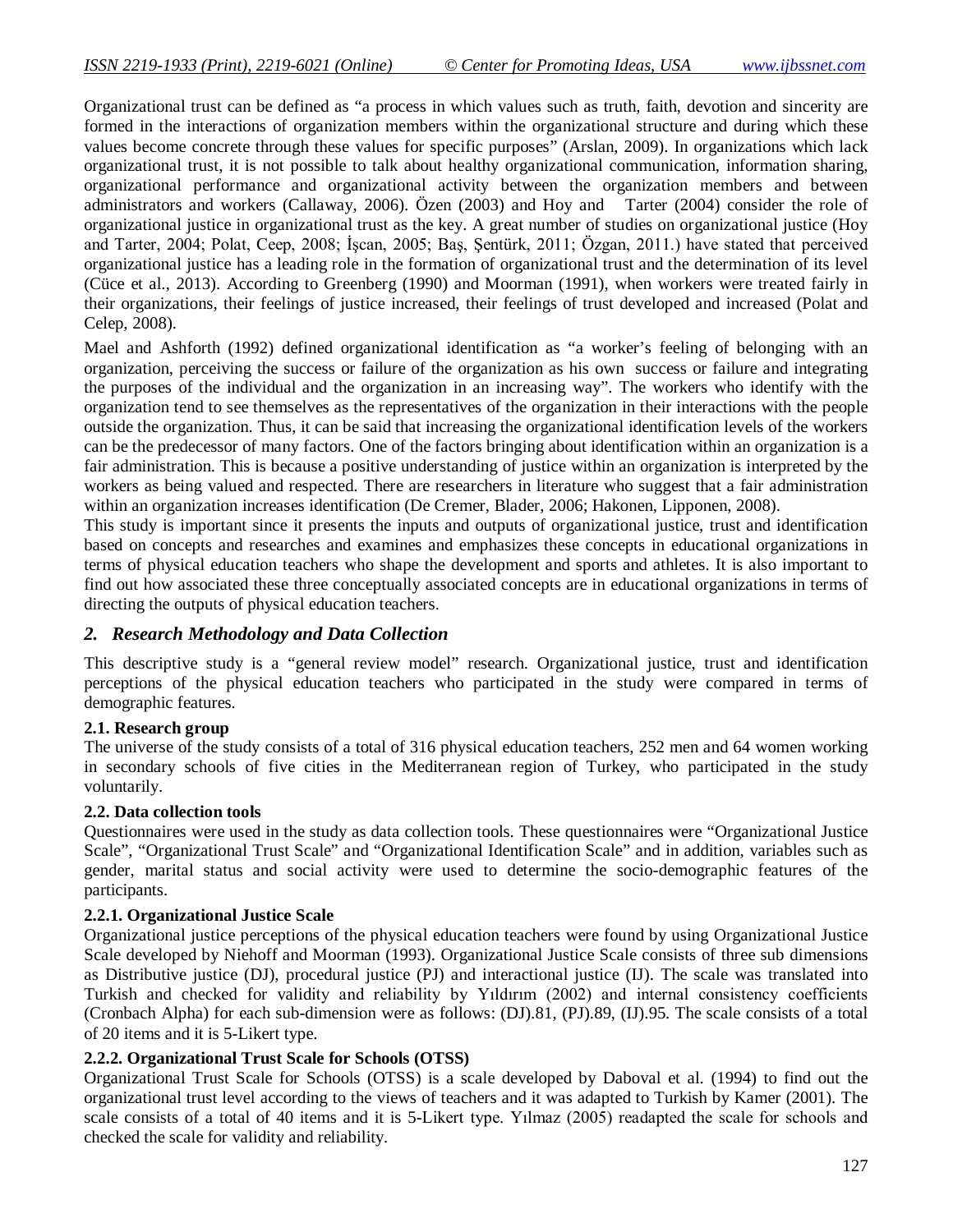Organizational trust can be defined as "a process in which values such as truth, faith, devotion and sincerity are formed in the interactions of organization members within the organizational structure and during which these values become concrete through these values for specific purposes" (Arslan, 2009). In organizations which lack organizational trust, it is not possible to talk about healthy organizational communication, information sharing, organizational performance and organizational activity between the organization members and between administrators and workers (Callaway, 2006). Özen (2003) and Hoy and Tarter (2004) consider the role of organizational justice in organizational trust as the key. A great number of studies on organizational justice (Hoy and Tarter, 2004; Polat, Ceep, 2008; İşcan, 2005; Baş, Şentürk, 2011; Özgan, 2011.) have stated that perceived organizational justice has a leading role in the formation of organizational trust and the determination of its level (Cüce et al., 2013). According to Greenberg (1990) and Moorman (1991), when workers were treated fairly in their organizations, their feelings of justice increased, their feelings of trust developed and increased (Polat and Celep, 2008).

Mael and Ashforth (1992) defined organizational identification as "a worker's feeling of belonging with an organization, perceiving the success or failure of the organization as his own success or failure and integrating the purposes of the individual and the organization in an increasing way". The workers who identify with the organization tend to see themselves as the representatives of the organization in their interactions with the people outside the organization. Thus, it can be said that increasing the organizational identification levels of the workers can be the predecessor of many factors. One of the factors bringing about identification within an organization is a fair administration. This is because a positive understanding of justice within an organization is interpreted by the workers as being valued and respected. There are researchers in literature who suggest that a fair administration within an organization increases identification (De Cremer, Blader, 2006; Hakonen, Lipponen, 2008).

This study is important since it presents the inputs and outputs of organizational justice, trust and identification based on concepts and researches and examines and emphasizes these concepts in educational organizations in terms of physical education teachers who shape the development and sports and athletes. It is also important to find out how associated these three conceptually associated concepts are in educational organizations in terms of directing the outputs of physical education teachers.

### *2. Research Methodology and Data Collection*

This descriptive study is a "general review model" research. Organizational justice, trust and identification perceptions of the physical education teachers who participated in the study were compared in terms of demographic features.

### **2.1. Research group**

The universe of the study consists of a total of 316 physical education teachers, 252 men and 64 women working in secondary schools of five cities in the Mediterranean region of Turkey, who participated in the study voluntarily.

### **2.2. Data collection tools**

Questionnaires were used in the study as data collection tools. These questionnaires were "Organizational Justice Scale", "Organizational Trust Scale" and "Organizational Identification Scale" and in addition, variables such as gender, marital status and social activity were used to determine the socio-demographic features of the participants.

### **2.2.1. Organizational Justice Scale**

Organizational justice perceptions of the physical education teachers were found by using Organizational Justice Scale developed by Niehoff and Moorman (1993). Organizational Justice Scale consists of three sub dimensions as Distributive justice (DJ), procedural justice (PJ) and interactional justice (IJ). The scale was translated into Turkish and checked for validity and reliability by Yıldırım (2002) and internal consistency coefficients (Cronbach Alpha) for each sub-dimension were as follows: (DJ).81, (PJ).89, (IJ).95. The scale consists of a total of 20 items and it is 5-Likert type.

### **2.2.2. Organizational Trust Scale for Schools (OTSS)**

Organizational Trust Scale for Schools (OTSS) is a scale developed by Daboval et al. (1994) to find out the organizational trust level according to the views of teachers and it was adapted to Turkish by Kamer (2001). The scale consists of a total of 40 items and it is 5-Likert type. Yılmaz (2005) readapted the scale for schools and checked the scale for validity and reliability.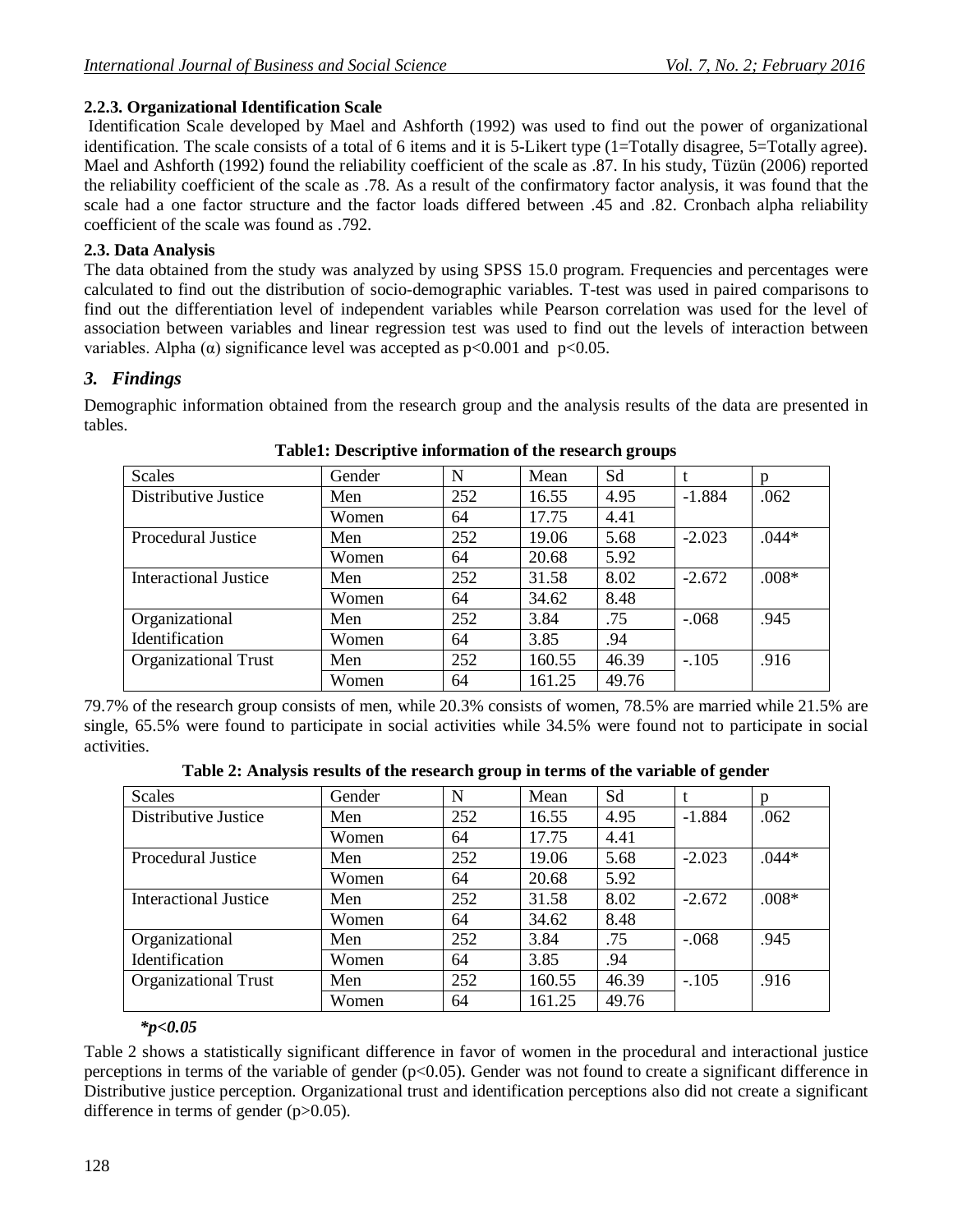### **2.2.3. Organizational Identification Scale**

Identification Scale developed by Mael and Ashforth (1992) was used to find out the power of organizational identification. The scale consists of a total of 6 items and it is 5-Likert type (1=Totally disagree, 5=Totally agree). Mael and Ashforth (1992) found the reliability coefficient of the scale as .87. In his study, Tüzün (2006) reported the reliability coefficient of the scale as .78. As a result of the confirmatory factor analysis, it was found that the scale had a one factor structure and the factor loads differed between .45 and .82. Cronbach alpha reliability coefficient of the scale was found as .792.

### **2.3. Data Analysis**

The data obtained from the study was analyzed by using SPSS 15.0 program. Frequencies and percentages were calculated to find out the distribution of socio-demographic variables. T-test was used in paired comparisons to find out the differentiation level of independent variables while Pearson correlation was used for the level of association between variables and linear regression test was used to find out the levels of interaction between variables. Alpha ( $\alpha$ ) significance level was accepted as p<0.001 and p<0.05.

### *3. Findings*

Demographic information obtained from the research group and the analysis results of the data are presented in tables.

| <b>Scales</b>               | Gender | N   | Mean   | Sd    |          | n       |
|-----------------------------|--------|-----|--------|-------|----------|---------|
| Distributive Justice        | Men    | 252 | 16.55  | 4.95  | $-1.884$ | .062    |
|                             | Women  | 64  | 17.75  | 4.41  |          |         |
| <b>Procedural Justice</b>   | Men    | 252 | 19.06  | 5.68  | $-2.023$ | $.044*$ |
|                             | Women  | 64  | 20.68  | 5.92  |          |         |
| Interactional Justice       | Men    | 252 | 31.58  | 8.02  | $-2.672$ | $.008*$ |
|                             | Women  | 64  | 34.62  | 8.48  |          |         |
| Organizational              | Men    | 252 | 3.84   | .75   | $-.068$  | .945    |
| Identification              | Women  | 64  | 3.85   | .94   |          |         |
| <b>Organizational Trust</b> | Men    | 252 | 160.55 | 46.39 | $-.105$  | .916    |
|                             | Women  | 64  | 161.25 | 49.76 |          |         |

#### **Table1: Descriptive information of the research groups**

79.7% of the research group consists of men, while 20.3% consists of women, 78.5% are married while 21.5% are single, 65.5% were found to participate in social activities while 34.5% were found not to participate in social activities.

**Table 2: Analysis results of the research group in terms of the variable of gender**

| Scales                       | Gender | N   | Mean   | Sd    |          | p       |
|------------------------------|--------|-----|--------|-------|----------|---------|
| Distributive Justice         | Men    | 252 | 16.55  | 4.95  | $-1.884$ | .062    |
|                              | Women  | 64  | 17.75  | 4.41  |          |         |
| <b>Procedural Justice</b>    | Men    | 252 | 19.06  | 5.68  | $-2.023$ | $.044*$ |
|                              | Women  | 64  | 20.68  | 5.92  |          |         |
| <b>Interactional Justice</b> | Men    | 252 | 31.58  | 8.02  | $-2.672$ | $.008*$ |
|                              | Women  | 64  | 34.62  | 8.48  |          |         |
| Organizational               | Men    | 252 | 3.84   | .75   | $-.068$  | .945    |
| Identification               | Women  | 64  | 3.85   | .94   |          |         |
| <b>Organizational Trust</b>  | Men    | 252 | 160.55 | 46.39 | $-.105$  | .916    |
|                              | Women  | 64  | 161.25 | 49.76 |          |         |

### *\*p<0.05*

Table 2 shows a statistically significant difference in favor of women in the procedural and interactional justice perceptions in terms of the variable of gender  $(p<0.05)$ . Gender was not found to create a significant difference in Distributive justice perception. Organizational trust and identification perceptions also did not create a significant difference in terms of gender (p>0.05).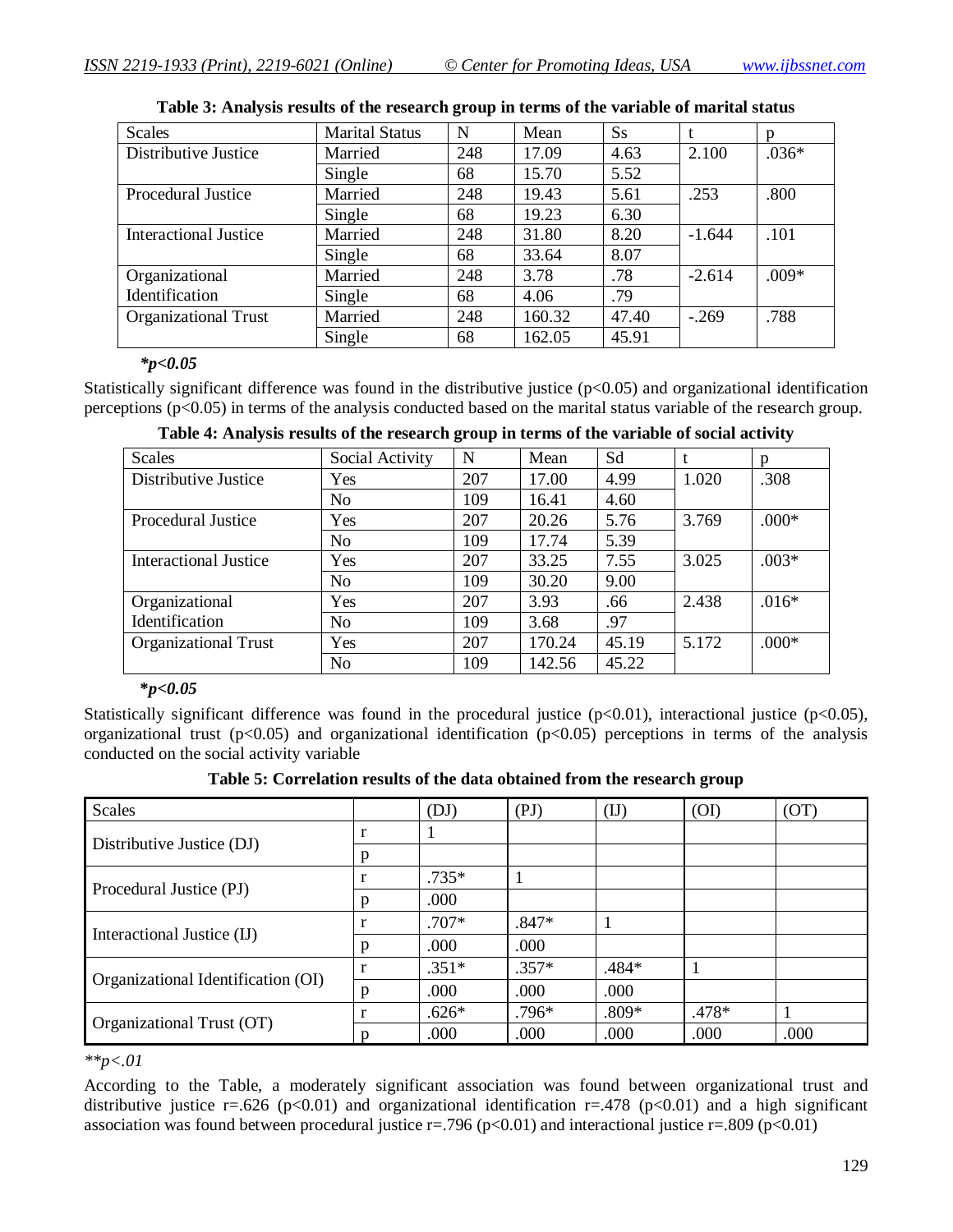| <b>Scales</b>                | <b>Marital Status</b> | N   | Mean   | <b>Ss</b> |          | n       |
|------------------------------|-----------------------|-----|--------|-----------|----------|---------|
| Distributive Justice         | Married               | 248 | 17.09  | 4.63      | 2.100    | $.036*$ |
|                              | Single                | 68  | 15.70  | 5.52      |          |         |
| <b>Procedural Justice</b>    | Married               | 248 | 19.43  | 5.61      | .253     | .800    |
|                              | Single                | 68  | 19.23  | 6.30      |          |         |
| <b>Interactional Justice</b> | Married               | 248 | 31.80  | 8.20      | $-1.644$ | .101    |
|                              | Single                | 68  | 33.64  | 8.07      |          |         |
| Organizational               | Married               | 248 | 3.78   | .78       | $-2.614$ | $.009*$ |
| Identification               | Single                | 68  | 4.06   | .79       |          |         |
| <b>Organizational Trust</b>  | Married               | 248 | 160.32 | 47.40     | $-.269$  | .788    |
|                              | Single                | 68  | 162.05 | 45.91     |          |         |

#### **Table 3: Analysis results of the research group in terms of the variable of marital status**

#### *\*p<0.05*

Statistically significant difference was found in the distributive justice  $(p<0.05)$  and organizational identification perceptions (p<0.05) in terms of the analysis conducted based on the marital status variable of the research group.

| <b>Scales</b>               | Social Activity | N   | Mean   | Sd    |       | n       |
|-----------------------------|-----------------|-----|--------|-------|-------|---------|
| Distributive Justice        | Yes             | 207 | 17.00  | 4.99  | 1.020 | .308    |
|                             | N <sub>o</sub>  | 109 | 16.41  | 4.60  |       |         |
| <b>Procedural Justice</b>   | Yes             | 207 | 20.26  | 5.76  | 3.769 | $.000*$ |
|                             | N <sub>o</sub>  | 109 | 17.74  | 5.39  |       |         |
| Interactional Justice       | Yes             | 207 | 33.25  | 7.55  | 3.025 | $.003*$ |
|                             | N <sub>o</sub>  | 109 | 30.20  | 9.00  |       |         |
| Organizational              | Yes             | 207 | 3.93   | .66   | 2.438 | $.016*$ |
| Identification              | N <sub>o</sub>  | 109 | 3.68   | .97   |       |         |
| <b>Organizational Trust</b> | Yes             | 207 | 170.24 | 45.19 | 5.172 | $.000*$ |
|                             | N <sub>o</sub>  | 109 | 142.56 | 45.22 |       |         |

|  | Table 4: Analysis results of the research group in terms of the variable of social activity |
|--|---------------------------------------------------------------------------------------------|
|  |                                                                                             |

#### **\****p<0.05*

Statistically significant difference was found in the procedural justice  $(p<0.01)$ , interactional justice  $(p<0.05)$ , organizational trust ( $p<0.05$ ) and organizational identification ( $p<0.05$ ) perceptions in terms of the analysis conducted on the social activity variable

| <b>Scales</b>                      |              | (DJ)    | (PI)    | $(\mathrm{IJ})$ | (OI)  | (OT) |
|------------------------------------|--------------|---------|---------|-----------------|-------|------|
| Distributive Justice (DJ)          | r            |         |         |                 |       |      |
|                                    | p            |         |         |                 |       |      |
| Procedural Justice (PJ)            |              | $.735*$ |         |                 |       |      |
|                                    | p            | .000    |         |                 |       |      |
| Interactional Justice (IJ)         | $\mathbf r$  | $.707*$ | $.847*$ |                 |       |      |
|                                    | p            | .000    | .000    |                 |       |      |
|                                    |              | $.351*$ | $.357*$ | .484*           |       |      |
| Organizational Identification (OI) | p            | .000    | .000    | .000            |       |      |
| Organizational Trust (OT)          | $\mathbf{I}$ | $.626*$ | $.796*$ | $.809*$         | .478* |      |
|                                    | D            | .000    | .000    | .000            | .000  | .000 |

*\*\*p<.01*

According to the Table, a moderately significant association was found between organizational trust and distributive justice r=.626 (p<0.01) and organizational identification r=.478 (p<0.01) and a high significant association was found between procedural justice  $r = .796$  ( $p < 0.01$ ) and interactional justice  $r = .809$  ( $p < 0.01$ )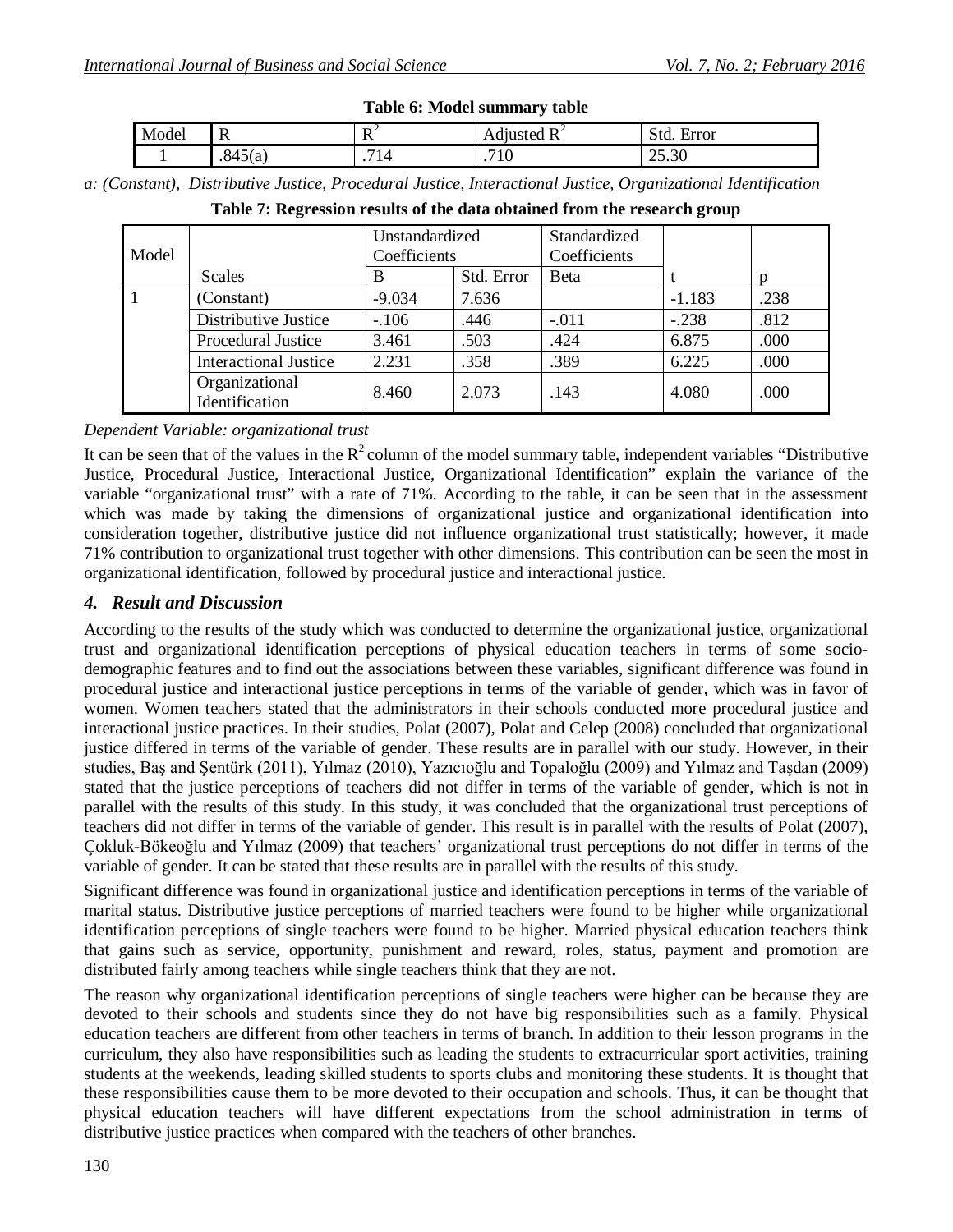| Table 6: Model summary table |         |     |                |            |  |  |  |  |  |
|------------------------------|---------|-----|----------------|------------|--|--|--|--|--|
| Model                        |         | 11  | Adjusted $R^2$ | Std. Error |  |  |  |  |  |
|                              | .845(a) | 714 |                |            |  |  |  |  |  |

| a: (Constant), Distributive Justice, Procedural Justice, Interactional Justice, Organizational Identification |  |  |  |  |
|---------------------------------------------------------------------------------------------------------------|--|--|--|--|
|                                                                                                               |  |  |  |  |

| Model |                                  | Unstandardized<br>Coefficients |            | Standardized<br>Coefficients |          |      |
|-------|----------------------------------|--------------------------------|------------|------------------------------|----------|------|
|       | Scales                           | B                              | Std. Error | <b>B</b> eta                 |          |      |
|       | (Constant)                       | $-9.034$                       | 7.636      |                              | $-1.183$ | .238 |
|       | Distributive Justice             | $-106$                         | .446       | $-.011$                      | $-.238$  | .812 |
|       | Procedural Justice               | 3.461                          | .503       | .424                         | 6.875    | .000 |
|       | <b>Interactional Justice</b>     | 2.231                          | .358       | .389                         | 6.225    | .000 |
|       | Organizational<br>Identification | 8.460                          | 2.073      | .143                         | 4.080    | .000 |

|  | Table 7: Regression results of the data obtained from the research group |  |  |  |  |  |  |  |  |
|--|--------------------------------------------------------------------------|--|--|--|--|--|--|--|--|
|--|--------------------------------------------------------------------------|--|--|--|--|--|--|--|--|

### *Dependent Variable: organizational trust*

It can be seen that of the values in the  $R^2$  column of the model summary table, independent variables "Distributive Justice, Procedural Justice, Interactional Justice, Organizational Identification" explain the variance of the variable "organizational trust" with a rate of 71%. According to the table, it can be seen that in the assessment which was made by taking the dimensions of organizational justice and organizational identification into consideration together, distributive justice did not influence organizational trust statistically; however, it made 71% contribution to organizational trust together with other dimensions. This contribution can be seen the most in organizational identification, followed by procedural justice and interactional justice.

### *4. Result and Discussion*

According to the results of the study which was conducted to determine the organizational justice, organizational trust and organizational identification perceptions of physical education teachers in terms of some sociodemographic features and to find out the associations between these variables, significant difference was found in procedural justice and interactional justice perceptions in terms of the variable of gender, which was in favor of women. Women teachers stated that the administrators in their schools conducted more procedural justice and interactional justice practices. In their studies, Polat (2007), Polat and Celep (2008) concluded that organizational justice differed in terms of the variable of gender. These results are in parallel with our study. However, in their studies, Baş and Şentürk (2011), Yılmaz (2010), Yazıcıoğlu and Topaloğlu (2009) and Yılmaz and Taşdan (2009) stated that the justice perceptions of teachers did not differ in terms of the variable of gender, which is not in parallel with the results of this study. In this study, it was concluded that the organizational trust perceptions of teachers did not differ in terms of the variable of gender. This result is in parallel with the results of Polat (2007), Çokluk-Bökeoğlu and Yılmaz (2009) that teachers' organizational trust perceptions do not differ in terms of the variable of gender. It can be stated that these results are in parallel with the results of this study.

Significant difference was found in organizational justice and identification perceptions in terms of the variable of marital status. Distributive justice perceptions of married teachers were found to be higher while organizational identification perceptions of single teachers were found to be higher. Married physical education teachers think that gains such as service, opportunity, punishment and reward, roles, status, payment and promotion are distributed fairly among teachers while single teachers think that they are not.

The reason why organizational identification perceptions of single teachers were higher can be because they are devoted to their schools and students since they do not have big responsibilities such as a family. Physical education teachers are different from other teachers in terms of branch. In addition to their lesson programs in the curriculum, they also have responsibilities such as leading the students to extracurricular sport activities, training students at the weekends, leading skilled students to sports clubs and monitoring these students. It is thought that these responsibilities cause them to be more devoted to their occupation and schools. Thus, it can be thought that physical education teachers will have different expectations from the school administration in terms of distributive justice practices when compared with the teachers of other branches.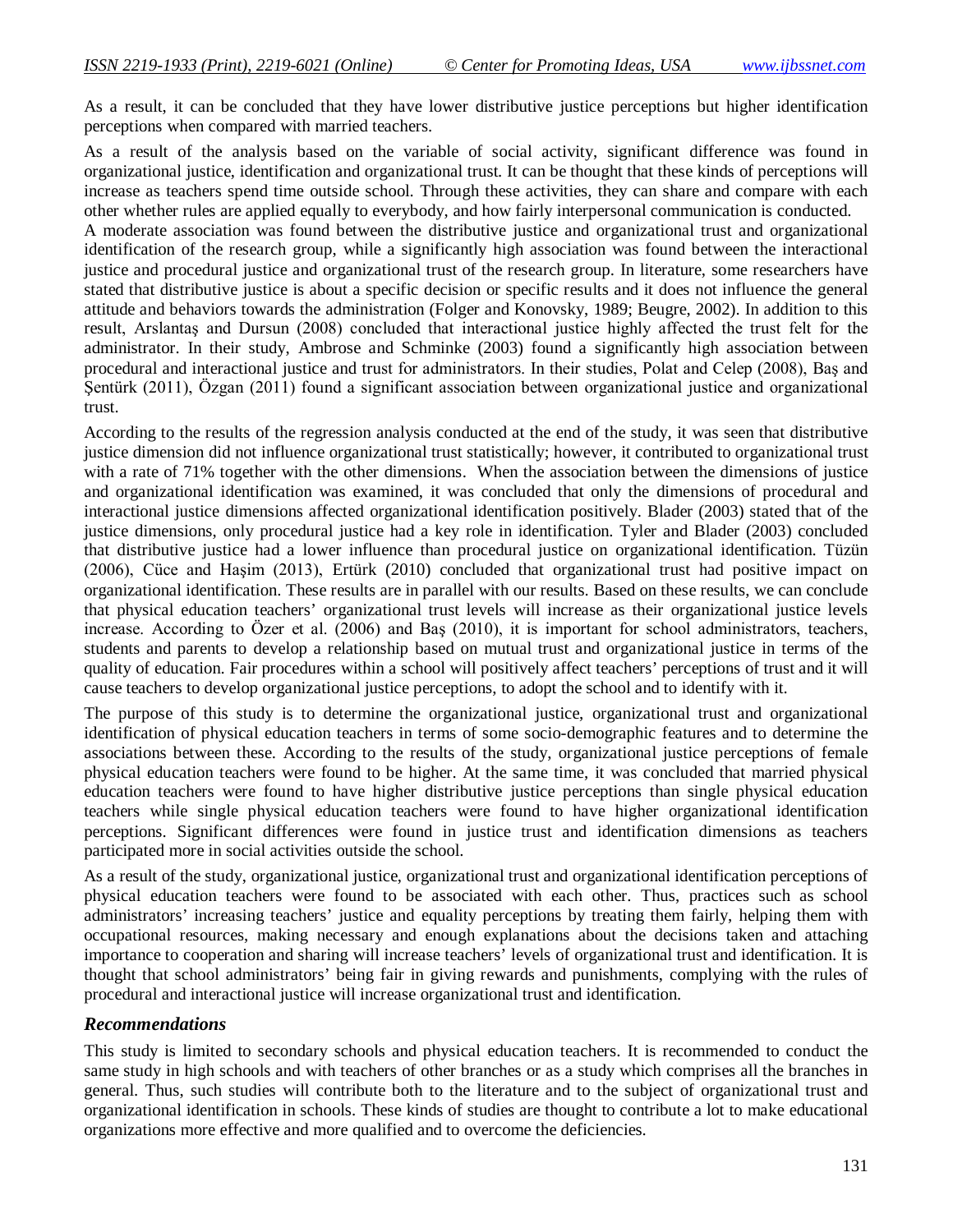As a result, it can be concluded that they have lower distributive justice perceptions but higher identification perceptions when compared with married teachers.

As a result of the analysis based on the variable of social activity, significant difference was found in organizational justice, identification and organizational trust. It can be thought that these kinds of perceptions will increase as teachers spend time outside school. Through these activities, they can share and compare with each other whether rules are applied equally to everybody, and how fairly interpersonal communication is conducted.

A moderate association was found between the distributive justice and organizational trust and organizational identification of the research group, while a significantly high association was found between the interactional justice and procedural justice and organizational trust of the research group. In literature, some researchers have stated that distributive justice is about a specific decision or specific results and it does not influence the general attitude and behaviors towards the administration (Folger and Konovsky, 1989; Beugre, 2002). In addition to this result, Arslantaş and Dursun (2008) concluded that interactional justice highly affected the trust felt for the administrator. In their study, Ambrose and Schminke (2003) found a significantly high association between procedural and interactional justice and trust for administrators. In their studies, Polat and Celep (2008), Baş and Şentürk (2011), Özgan (2011) found a significant association between organizational justice and organizational trust.

According to the results of the regression analysis conducted at the end of the study, it was seen that distributive justice dimension did not influence organizational trust statistically; however, it contributed to organizational trust with a rate of 71% together with the other dimensions. When the association between the dimensions of justice and organizational identification was examined, it was concluded that only the dimensions of procedural and interactional justice dimensions affected organizational identification positively. Blader (2003) stated that of the justice dimensions, only procedural justice had a key role in identification. Tyler and Blader (2003) concluded that distributive justice had a lower influence than procedural justice on organizational identification. Tüzün (2006), Cüce and Haşim (2013), Ertürk (2010) concluded that organizational trust had positive impact on organizational identification. These results are in parallel with our results. Based on these results, we can conclude that physical education teachers' organizational trust levels will increase as their organizational justice levels increase. According to Özer et al. (2006) and Baş (2010), it is important for school administrators, teachers, students and parents to develop a relationship based on mutual trust and organizational justice in terms of the quality of education. Fair procedures within a school will positively affect teachers' perceptions of trust and it will cause teachers to develop organizational justice perceptions, to adopt the school and to identify with it.

The purpose of this study is to determine the organizational justice, organizational trust and organizational identification of physical education teachers in terms of some socio-demographic features and to determine the associations between these. According to the results of the study, organizational justice perceptions of female physical education teachers were found to be higher. At the same time, it was concluded that married physical education teachers were found to have higher distributive justice perceptions than single physical education teachers while single physical education teachers were found to have higher organizational identification perceptions. Significant differences were found in justice trust and identification dimensions as teachers participated more in social activities outside the school.

As a result of the study, organizational justice, organizational trust and organizational identification perceptions of physical education teachers were found to be associated with each other. Thus, practices such as school administrators' increasing teachers' justice and equality perceptions by treating them fairly, helping them with occupational resources, making necessary and enough explanations about the decisions taken and attaching importance to cooperation and sharing will increase teachers' levels of organizational trust and identification. It is thought that school administrators' being fair in giving rewards and punishments, complying with the rules of procedural and interactional justice will increase organizational trust and identification.

#### *Recommendations*

This study is limited to secondary schools and physical education teachers. It is recommended to conduct the same study in high schools and with teachers of other branches or as a study which comprises all the branches in general. Thus, such studies will contribute both to the literature and to the subject of organizational trust and organizational identification in schools. These kinds of studies are thought to contribute a lot to make educational organizations more effective and more qualified and to overcome the deficiencies.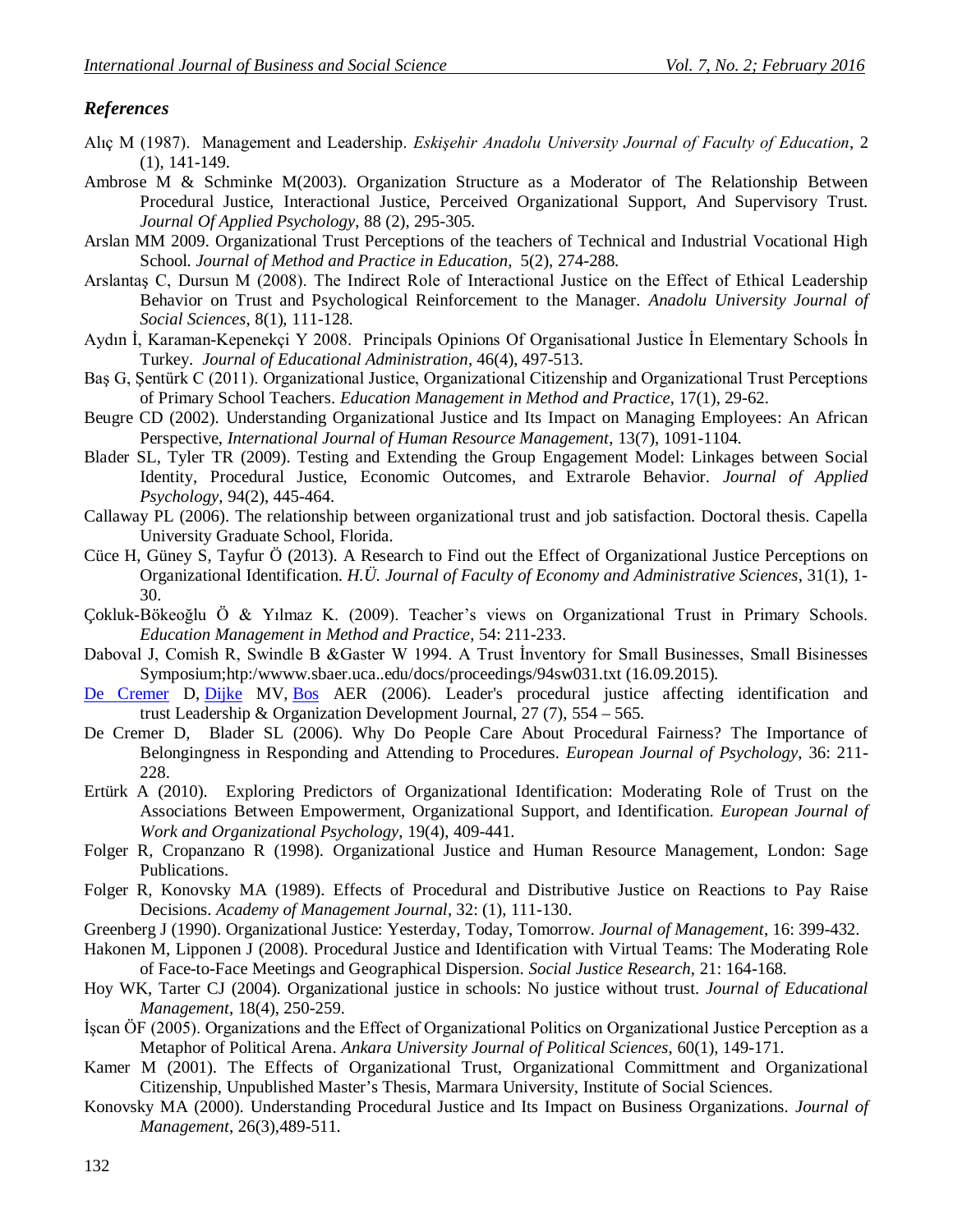### *References*

- Alıç M (1987). Management and Leadership. *Eskişehir Anadolu University Journal of Faculty of Education*, 2 (1), 141-149.
- Ambrose M & Schminke M(2003). Organization Structure as a Moderator of The Relationship Between Procedural Justice, Interactional Justice, Perceived Organizational Support, And Supervisory Trust. *Journal Of Applied Psychology*, 88 (2), 295-305.
- Arslan MM 2009. Organizational Trust Perceptions of the teachers of Technical and Industrial Vocational High School. *Journal of Method and Practice in Education,* 5(2), 274-288.
- Arslantaş C, Dursun M (2008). The Indirect Role of Interactional Justice on the Effect of Ethical Leadership Behavior on Trust and Psychological Reinforcement to the Manager. *Anadolu University Journal of Social Sciences*, 8(1), 111-128.
- Aydın İ, Karaman-Kepenekçi Y 2008. Principals Opinions Of Organisational Justice İn Elementary Schools İn Turkey. *Journal of Educational Administration*, 46(4), 497-513.
- Baş G, Şentürk C (2011). Organizational Justice, Organizational Citizenship and Organizational Trust Perceptions of Primary School Teachers. *Education Management in Method and Practice*, 17(1), 29-62.
- Beugre CD (2002). Understanding Organizational Justice and Its Impact on Managing Employees: An African Perspective, *International Journal of Human Resource Management*, 13(7), 1091-1104.
- Blader SL, Tyler TR (2009). Testing and Extending the Group Engagement Model: Linkages between Social Identity, Procedural Justice, Economic Outcomes, and Extrarole Behavior. *Journal of Applied Psychology*, 94(2), 445-464.
- Callaway PL (2006). The relationship between organizational trust and job satisfaction. Doctoral thesis. Capella University Graduate School, Florida.
- Cüce H, Güney S, Tayfur Ö (2013). A Research to Find out the Effect of Organizational Justice Perceptions on Organizational Identification. *H.Ü. Journal of Faculty of Economy and Administrative Sciences*, 31(1), 1- 30.
- Çokluk-Bökeoğlu Ö & Yılmaz K. (2009). Teacher's views on Organizational Trust in Primary Schools. *Education Management in Method and Practice*, 54: 211-233.
- Daboval J, Comish R, Swindle B &Gaster W 1994. A Trust İnventory for Small Businesses, Small Bisinesses Symposium;htp:/wwww.sbaer.uca..edu/docs/proceedings/94sw031.txt (16.09.2015).
- De Cremer D, Dijke MV, Bos AER (2006). Leader's procedural justice affecting identification and trust Leadership & Organization Development Journal, 27 (7), 554 – 565.
- De Cremer D, Blader SL (2006). Why Do People Care About Procedural Fairness? The Importance of Belongingness in Responding and Attending to Procedures. *European Journal of Psychology*, 36: 211- 228.
- Ertürk A (2010). Exploring Predictors of Organizational Identification: Moderating Role of Trust on the Associations Between Empowerment, Organizational Support, and Identification. *European Journal of Work and Organizational Psychology*, 19(4), 409-441.
- Folger R, Cropanzano R (1998). Organizational Justice and Human Resource Management, London: Sage Publications.
- Folger R, Konovsky MA (1989). Effects of Procedural and Distributive Justice on Reactions to Pay Raise Decisions. *Academy of Management Journal*, 32: (1), 111-130.
- Greenberg J (1990). Organizational Justice: Yesterday, Today, Tomorrow. *Journal of Management*, 16: 399-432.
- Hakonen M, Lipponen J (2008). Procedural Justice and Identification with Virtual Teams: The Moderating Role of Face-to-Face Meetings and Geographical Dispersion. *Social Justice Research*, 21: 164-168.
- Hoy WK, Tarter CJ (2004). Organizational justice in schools: No justice without trust. *Journal of Educational Management*, 18(4), 250-259.
- İşcan ÖF (2005). Organizations and the Effect of Organizational Politics on Organizational Justice Perception as a Metaphor of Political Arena. *Ankara University Journal of Political Sciences*, 60(1), 149-171.
- Kamer M (2001). The Effects of Organizational Trust, Organizational Committment and Organizational Citizenship, Unpublished Master's Thesis, Marmara University, Institute of Social Sciences.
- Konovsky MA (2000). Understanding Procedural Justice and Its Impact on Business Organizations. *Journal of Management*, 26(3),489-511.